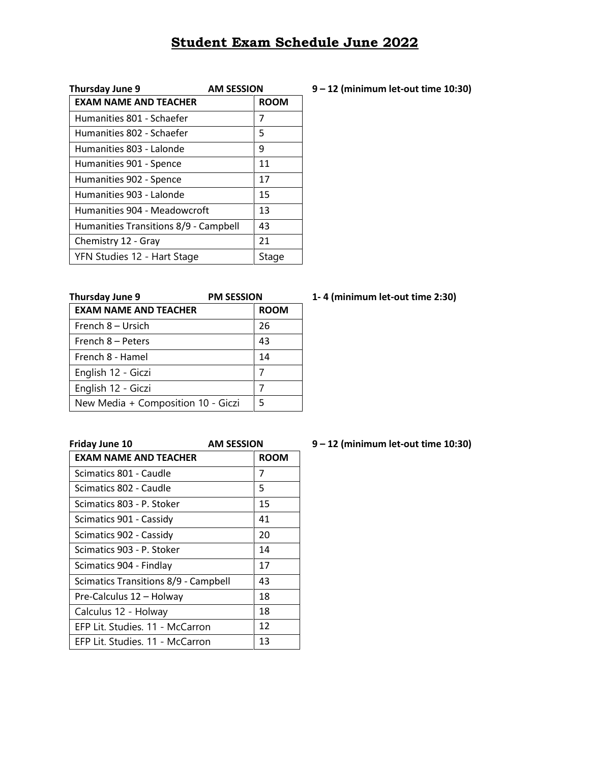## **Student Exam Schedule June 2022**

| Thursday June 9                       | <b>AM SESSION</b> |
|---------------------------------------|-------------------|
| <b>EXAM NAME AND TEACHER</b>          | <b>ROOM</b>       |
| Humanities 801 - Schaefer             | 7                 |
| Humanities 802 - Schaefer             | 5                 |
| Humanities 803 - Lalonde              | 9                 |
| Humanities 901 - Spence               | 11                |
| Humanities 902 - Spence               | 17                |
| Humanities 903 - Lalonde              | 15                |
| Humanities 904 - Meadowcroft          | 13                |
| Humanities Transitions 8/9 - Campbell | 43                |
| Chemistry 12 - Gray                   | 21                |
| YFN Studies 12 - Hart Stage           | Stage             |

| Thursday June 9                    | <b>PM SESSION</b> |
|------------------------------------|-------------------|
| <b>EXAM NAME AND TEACHER</b>       | <b>ROOM</b>       |
| French 8 – Ursich                  | 26                |
| French 8 - Peters                  | 43                |
| French 8 - Hamel                   | 14                |
| English 12 - Giczi                 |                   |
| English 12 - Giczi                 |                   |
| New Media + Composition 10 - Giczi | 5                 |

**Friday June 10 AM SESSION 9 – 12 (minimum let-out time 10:30) EXAM NAME AND TEACHER** ROOM Scimatics 801 - Caudle 7 Scimatics 802 - Caudle 5 Scimatics 803 - P. Stoker 15 Scimatics 901 - Cassidy | 41 Scimatics 902 - Cassidy 20 Scimatics 903 - P. Stoker | 14 Scimatics 904 - Findlay 17 Scimatics Transitions 8/9 - Campbell | 43 Pre-Calculus  $12 -$ Holway | 18 Calculus 12 - Holway 18 EFP Lit. Studies. 11 - McCarron 12 EFP Lit. Studies. 11 - McCarron 13

## **Thursday June 9 PM SESSION 1- 4 (minimum let-out time 2:30)**

## **Thursday June 9 AM SESSION 9 – 12 (minimum let-out time 10:30)**